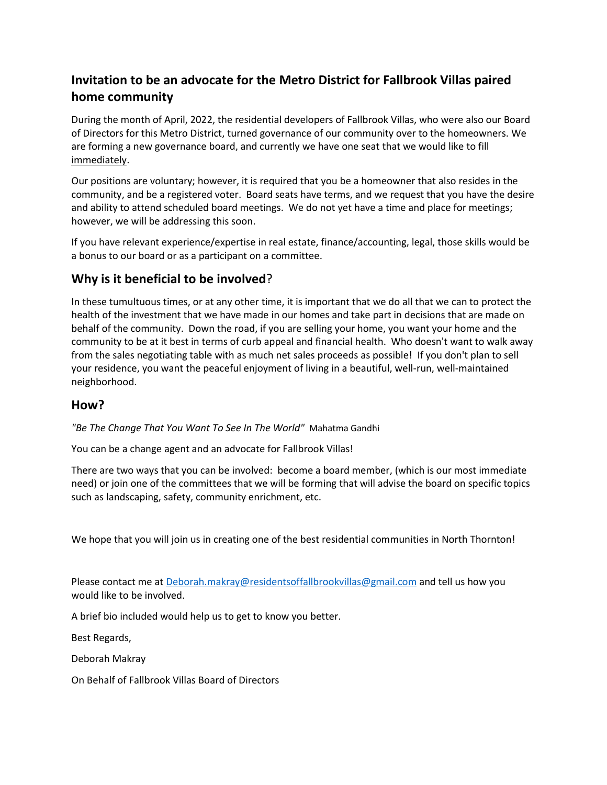## **Invitation to be an advocate for the Metro District for Fallbrook Villas paired home community**

During the month of April, 2022, the residential developers of Fallbrook Villas, who were also our Board of Directors for this Metro District, turned governance of our community over to the homeowners. We are forming a new governance board, and currently we have one seat that we would like to fill immediately.

Our positions are voluntary; however, it is required that you be a homeowner that also resides in the community, and be a registered voter. Board seats have terms, and we request that you have the desire and ability to attend scheduled board meetings. We do not yet have a time and place for meetings; however, we will be addressing this soon.

If you have relevant experience/expertise in real estate, finance/accounting, legal, those skills would be a bonus to our board or as a participant on a committee.

## **Why is it beneficial to be involved**?

In these tumultuous times, or at any other time, it is important that we do all that we can to protect the health of the investment that we have made in our homes and take part in decisions that are made on behalf of the community. Down the road, if you are selling your home, you want your home and the community to be at it best in terms of curb appeal and financial health. Who doesn't want to walk away from the sales negotiating table with as much net sales proceeds as possible! If you don't plan to sell your residence, you want the peaceful enjoyment of living in a beautiful, well-run, well-maintained neighborhood.

## **How?**

*"Be The Change That You Want To See In The World"* Mahatma Gandhi

You can be a change agent and an advocate for Fallbrook Villas!

There are two ways that you can be involved: become a board member, (which is our most immediate need) or join one of the committees that we will be forming that will advise the board on specific topics such as landscaping, safety, community enrichment, etc.

We hope that you will join us in creating one of the best residential communities in North Thornton!

Please contact me at [Deborah.makray@residentsoffallbrookvillas@gmail.com](mailto:Deborah.makray@residentsoffallbrookvillas@gmail.com) and tell us how you would like to be involved.

A brief bio included would help us to get to know you better.

Best Regards,

Deborah Makray

On Behalf of Fallbrook Villas Board of Directors